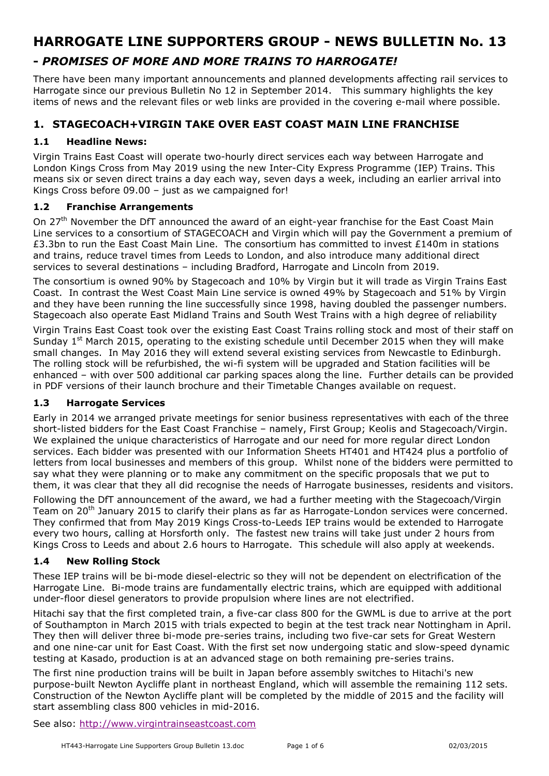# **HARROGATE LINE SUPPORTERS GROUP - NEWS BULLETIN No. 13**

# **-** *PROMISES OF MORE AND MORE TRAINS TO HARROGATE!*

There have been many important announcements and planned developments affecting rail services to Harrogate since our previous Bulletin No 12 in September 2014. This summary highlights the key items of news and the relevant files or web links are provided in the covering e-mail where possible.

# **1. STAGECOACH+VIRGIN TAKE OVER EAST COAST MAIN LINE FRANCHISE**

#### **1.1 Headline News:**

Virgin Trains East Coast will operate two-hourly direct services each way between Harrogate and London Kings Cross from May 2019 using the new Inter-City Express Programme (IEP) Trains. This means six or seven direct trains a day each way, seven days a week, including an earlier arrival into Kings Cross before 09.00 - just as we campaigned for!

### **1.2 Franchise Arrangements**

On 27<sup>th</sup> November the DfT announced the award of an eight-year franchise for the East Coast Main Line services to a consortium of STAGECOACH and Virgin which will pay the Government a premium of £3.3bn to run the East Coast Main Line. The consortium has committed to invest £140m in stations and trains, reduce travel times from Leeds to London, and also introduce many additional direct services to several destinations – including Bradford, Harrogate and Lincoln from 2019.

The consortium is owned 90% by Stagecoach and 10% by Virgin but it will trade as Virgin Trains East Coast. In contrast the West Coast Main Line service is owned 49% by Stagecoach and 51% by Virgin and they have been running the line successfully since 1998, having doubled the passenger numbers. Stagecoach also operate East Midland Trains and South West Trains with a high degree of reliability

Virgin Trains East Coast took over the existing East Coast Trains rolling stock and most of their staff on Sunday  $1^{st}$  March 2015, operating to the existing schedule until December 2015 when they will make small changes. In May 2016 they will extend several existing services from Newcastle to Edinburgh. The rolling stock will be refurbished, the wi-fi system will be upgraded and Station facilities will be enhanced – with over 500 additional car parking spaces along the line. Further details can be provided in PDF versions of their launch brochure and their Timetable Changes available on request.

#### **1.3 Harrogate Services**

Early in 2014 we arranged private meetings for senior business representatives with each of the three short-listed bidders for the East Coast Franchise – namely, First Group; Keolis and Stagecoach/Virgin. We explained the unique characteristics of Harrogate and our need for more regular direct London services. Each bidder was presented with our Information Sheets HT401 and HT424 plus a portfolio of letters from local businesses and members of this group. Whilst none of the bidders were permitted to say what they were planning or to make any commitment on the specific proposals that we put to them, it was clear that they all did recognise the needs of Harrogate businesses, residents and visitors.

Following the DfT announcement of the award, we had a further meeting with the Stagecoach/Virgin Team on 20<sup>th</sup> January 2015 to clarify their plans as far as Harrogate-London services were concerned. They confirmed that from May 2019 Kings Cross-to-Leeds IEP trains would be extended to Harrogate every two hours, calling at Horsforth only. The fastest new trains will take just under 2 hours from Kings Cross to Leeds and about 2.6 hours to Harrogate. This schedule will also apply at weekends.

#### **1.4 New Rolling Stock**

These IEP trains will be bi-mode diesel-electric so they will not be dependent on electrification of the Harrogate Line. Bi-mode trains are fundamentally electric trains, which are equipped with additional under-floor diesel generators to provide propulsion where lines are not electrified.

Hitachi say that the first completed train, a five-car class 800 for the GWML is due to arrive at the port of Southampton in March 2015 with trials expected to begin at the test track near Nottingham in April. They then will deliver three bi-mode pre-series trains, including two five-car sets for Great Western and one nine-car unit for East Coast. With the first set now undergoing static and slow-speed dynamic testing at Kasado, production is at an advanced stage on both remaining pre-series trains.

The first nine production trains will be built in Japan before assembly switches to Hitachi's new purpose-built Newton Aycliffe plant in northeast England, which will assemble the remaining 112 sets. Construction of the Newton Aycliffe plant will be completed by the middle of 2015 and the facility will start assembling class 800 vehicles in mid-2016.

See also: http://www.virgintrainseastcoast.com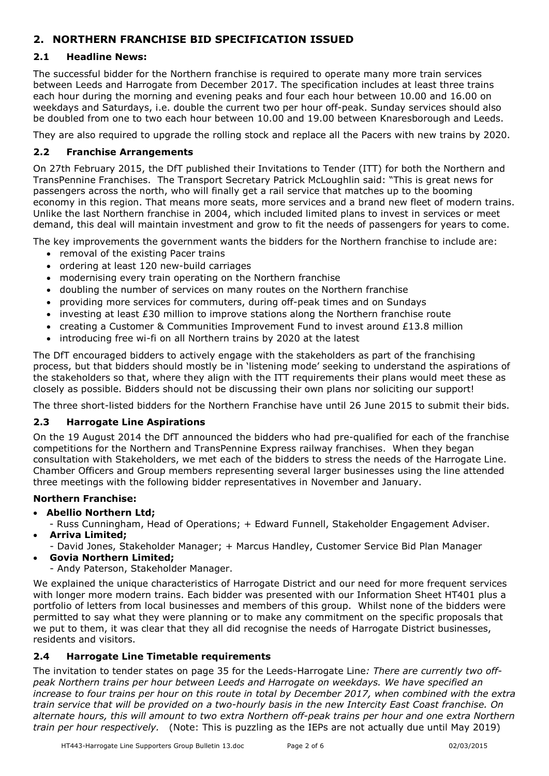# **2. NORTHERN FRANCHISE BID SPECIFICATION ISSUED**

# **2.1 Headline News:**

The successful bidder for the Northern franchise is required to operate many more train services between Leeds and Harrogate from December 2017. The specification includes at least three trains each hour during the morning and evening peaks and four each hour between 10.00 and 16.00 on weekdays and Saturdays, i.e. double the current two per hour off-peak. Sunday services should also be doubled from one to two each hour between 10.00 and 19.00 between Knaresborough and Leeds.

They are also required to upgrade the rolling stock and replace all the Pacers with new trains by 2020.

### **2.2 Franchise Arrangements**

On 27th February 2015, the DfT published their Invitations to Tender (ITT) for both the Northern and TransPennine Franchises. The Transport Secretary Patrick McLoughlin said: "This is great news for passengers across the north, who will finally get a rail service that matches up to the booming economy in this region. That means more seats, more services and a brand new fleet of modern trains. Unlike the last Northern franchise in 2004, which included limited plans to invest in services or meet demand, this deal will maintain investment and grow to fit the needs of passengers for years to come.

The key improvements the government wants the bidders for the Northern franchise to include are:

- removal of the existing Pacer trains
- ordering at least 120 new-build carriages
- modernising every train operating on the Northern franchise
- doubling the number of services on many routes on the Northern franchise
- providing more services for commuters, during off-peak times and on Sundays
- investing at least £30 million to improve stations along the Northern franchise route
- creating a Customer & Communities Improvement Fund to invest around £13.8 million
- introducing free wi-fi on all Northern trains by 2020 at the latest

The DfT encouraged bidders to actively engage with the stakeholders as part of the franchising process, but that bidders should mostly be in 'listening mode' seeking to understand the aspirations of the stakeholders so that, where they align with the ITT requirements their plans would meet these as closely as possible. Bidders should not be discussing their own plans nor soliciting our support!

The three short-listed bidders for the Northern Franchise have until 26 June 2015 to submit their bids.

#### **2.3 Harrogate Line Aspirations**

On the 19 August 2014 the DfT announced the bidders who had pre-qualified for each of the franchise competitions for the Northern and TransPennine Express railway franchises. When they began consultation with Stakeholders, we met each of the bidders to stress the needs of the Harrogate Line. Chamber Officers and Group members representing several larger businesses using the line attended three meetings with the following bidder representatives in November and January.

#### **Northern Franchise:**

- **Abellio Northern Ltd;**
	- Russ Cunningham, Head of Operations; + Edward Funnell, Stakeholder Engagement Adviser.
- **Arriva Limited;** 
	- David Jones, Stakeholder Manager; + Marcus Handley, Customer Service Bid Plan Manager
- **Govia Northern Limited;** 
	- Andy Paterson, Stakeholder Manager.

We explained the unique characteristics of Harrogate District and our need for more frequent services with longer more modern trains. Each bidder was presented with our Information Sheet HT401 plus a portfolio of letters from local businesses and members of this group. Whilst none of the bidders were permitted to say what they were planning or to make any commitment on the specific proposals that we put to them, it was clear that they all did recognise the needs of Harrogate District businesses, residents and visitors.

#### **2.4 Harrogate Line Timetable requirements**

The invitation to tender states on page 35 for the Leeds-Harrogate Line*: There are currently two offpeak Northern trains per hour between Leeds and Harrogate on weekdays. We have specified an increase to four trains per hour on this route in total by December 2017, when combined with the extra train service that will be provided on a two-hourly basis in the new Intercity East Coast franchise. On alternate hours, this will amount to two extra Northern off-peak trains per hour and one extra Northern train per hour respectively.* (Note: This is puzzling as the IEPs are not actually due until May 2019)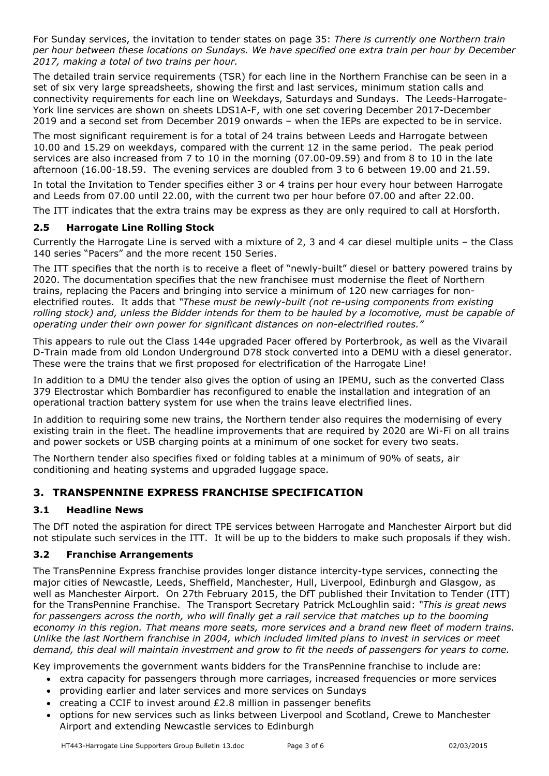For Sunday services, the invitation to tender states on page 35: *There is currently one Northern train per hour between these locations on Sundays. We have specified one extra train per hour by December 2017, making a total of two trains per hour.*

The detailed train service requirements (TSR) for each line in the Northern Franchise can be seen in a set of six very large spreadsheets, showing the first and last services, minimum station calls and connectivity requirements for each line on Weekdays, Saturdays and Sundays. The Leeds-Harrogate-York line services are shown on sheets LDS1A-F, with one set covering December 2017-December 2019 and a second set from December 2019 onwards – when the IEPs are expected to be in service.

The most significant requirement is for a total of 24 trains between Leeds and Harrogate between 10.00 and 15.29 on weekdays, compared with the current 12 in the same period. The peak period services are also increased from 7 to 10 in the morning (07.00-09.59) and from 8 to 10 in the late afternoon (16.00-18.59. The evening services are doubled from 3 to 6 between 19.00 and 21.59.

In total the Invitation to Tender specifies either 3 or 4 trains per hour every hour between Harrogate and Leeds from 07.00 until 22.00, with the current two per hour before 07.00 and after 22.00.

The ITT indicates that the extra trains may be express as they are only required to call at Horsforth.

### **2.5 Harrogate Line Rolling Stock**

Currently the Harrogate Line is served with a mixture of 2, 3 and 4 car diesel multiple units – the Class 140 series "Pacers" and the more recent 150 Series.

The ITT specifies that the north is to receive a fleet of "newly-built" diesel or battery powered trains by 2020. The documentation specifies that the new franchisee must modernise the fleet of Northern trains, replacing the Pacers and bringing into service a minimum of 120 new carriages for nonelectrified routes. It adds that *"These must be newly-built (not re-using components from existing rolling stock) and, unless the Bidder intends for them to be hauled by a locomotive, must be capable of operating under their own power for significant distances on non-electrified routes."*

This appears to rule out the Class 144e upgraded Pacer offered by Porterbrook, as well as the Vivarail D-Train made from old London Underground D78 stock converted into a DEMU with a diesel generator. These were the trains that we first proposed for electrification of the Harrogate Line!

In addition to a DMU the tender also gives the option of using an IPEMU, such as the converted Class 379 Electrostar which Bombardier has reconfigured to enable the installation and integration of an operational traction battery system for use when the trains leave electrified lines.

In addition to requiring some new trains, the Northern tender also requires the modernising of every existing train in the fleet. The headline improvements that are required by 2020 are Wi-Fi on all trains and power sockets or USB charging points at a minimum of one socket for every two seats.

The Northern tender also specifies fixed or folding tables at a minimum of 90% of seats, air conditioning and heating systems and upgraded luggage space.

# **3. TRANSPENNINE EXPRESS FRANCHISE SPECIFICATION**

#### **3.1 Headline News**

The DfT noted the aspiration for direct TPE services between Harrogate and Manchester Airport but did not stipulate such services in the ITT. It will be up to the bidders to make such proposals if they wish.

#### **3.2 Franchise Arrangements**

The TransPennine Express franchise provides longer distance intercity-type services, connecting the major cities of Newcastle, Leeds, Sheffield, Manchester, Hull, Liverpool, Edinburgh and Glasgow, as well as Manchester Airport. On 27th February 2015, the DfT published their Invitation to Tender (ITT) for the TransPennine Franchise. The Transport Secretary Patrick McLoughlin said: *"This is great news*  for passengers across the north, who will finally get a rail service that matches up to the booming *economy in this region. That means more seats, more services and a brand new fleet of modern trains. Unlike the last Northern franchise in 2004, which included limited plans to invest in services or meet demand, this deal will maintain investment and grow to fit the needs of passengers for years to come.*

Key improvements the government wants bidders for the TransPennine franchise to include are:

- extra capacity for passengers through more carriages, increased frequencies or more services
- providing earlier and later services and more services on Sundays
- creating a CCIF to invest around  $E2.8$  million in passenger benefits
- options for new services such as links between Liverpool and Scotland, Crewe to Manchester Airport and extending Newcastle services to Edinburgh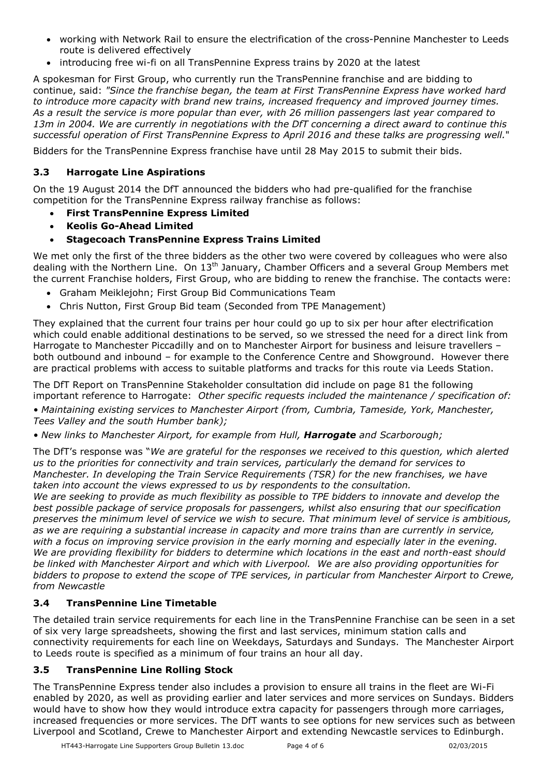- working with Network Rail to ensure the electrification of the cross-Pennine Manchester to Leeds route is delivered effectively
- introducing free wi-fi on all TransPennine Express trains by 2020 at the latest

A spokesman for First Group, who currently run the TransPennine franchise and are bidding to continue, said: *"Since the franchise began, the team at First TransPennine Express have worked hard to introduce more capacity with brand new trains, increased frequency and improved journey times. As a result the service is more popular than ever, with 26 million passengers last year compared to 13m in 2004. We are currently in negotiations with the DfT concerning a direct award to continue this successful operation of First TransPennine Express to April 2016 and these talks are progressing well.*"

Bidders for the TransPennine Express franchise have until 28 May 2015 to submit their bids.

#### **3.3 Harrogate Line Aspirations**

On the 19 August 2014 the DfT announced the bidders who had pre-qualified for the franchise competition for the TransPennine Express railway franchise as follows:

- **First TransPennine Express Limited**
- **Keolis Go-Ahead Limited**
- **Stagecoach TransPennine Express Trains Limited**

We met only the first of the three bidders as the other two were covered by colleagues who were also dealing with the Northern Line. On  $13<sup>th</sup>$  January, Chamber Officers and a several Group Members met the current Franchise holders, First Group, who are bidding to renew the franchise. The contacts were:

- Graham Meiklejohn; First Group Bid Communications Team
- Chris Nutton, First Group Bid team (Seconded from TPE Management)

They explained that the current four trains per hour could go up to six per hour after electrification which could enable additional destinations to be served, so we stressed the need for a direct link from Harrogate to Manchester Piccadilly and on to Manchester Airport for business and leisure travellers – both outbound and inbound – for example to the Conference Centre and Showground. However there are practical problems with access to suitable platforms and tracks for this route via Leeds Station.

The DfT Report on TransPennine Stakeholder consultation did include on page 81 the following important reference to Harrogate: *Other specific requests included the maintenance / specification of:* 

*• Maintaining existing services to Manchester Airport (from, Cumbria, Tameside, York, Manchester, Tees Valley and the south Humber bank);* 

*• New links to Manchester Airport, for example from Hull, Harrogate and Scarborough;* 

The DfT's response was "*We are grateful for the responses we received to this question, which alerted us to the priorities for connectivity and train services, particularly the demand for services to Manchester. In developing the Train Service Requirements (TSR) for the new franchises, we have taken into account the views expressed to us by respondents to the consultation.*

*We are seeking to provide as much flexibility as possible to TPE bidders to innovate and develop the best possible package of service proposals for passengers, whilst also ensuring that our specification preserves the minimum level of service we wish to secure. That minimum level of service is ambitious, as we are requiring a substantial increase in capacity and more trains than are currently in service, with a focus on improving service provision in the early morning and especially later in the evening. We are providing flexibility for bidders to determine which locations in the east and north-east should be linked with Manchester Airport and which with Liverpool. We are also providing opportunities for bidders to propose to extend the scope of TPE services, in particular from Manchester Airport to Crewe, from Newcastle* 

# **3.4 TransPennine Line Timetable**

The detailed train service requirements for each line in the TransPennine Franchise can be seen in a set of six very large spreadsheets, showing the first and last services, minimum station calls and connectivity requirements for each line on Weekdays, Saturdays and Sundays. The Manchester Airport to Leeds route is specified as a minimum of four trains an hour all day.

#### **3.5 TransPennine Line Rolling Stock**

The TransPennine Express tender also includes a provision to ensure all trains in the fleet are Wi-Fi enabled by 2020, as well as providing earlier and later services and more services on Sundays. Bidders would have to show how they would introduce extra capacity for passengers through more carriages, increased frequencies or more services. The DfT wants to see options for new services such as between Liverpool and Scotland, Crewe to Manchester Airport and extending Newcastle services to Edinburgh.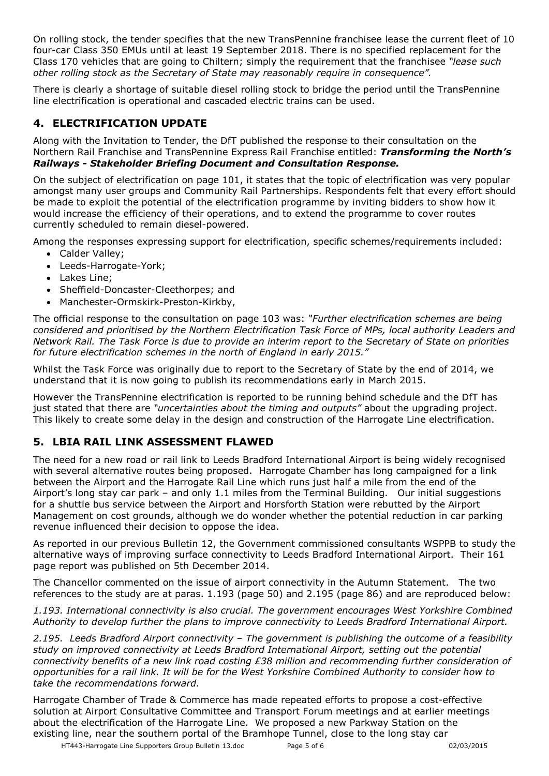On rolling stock, the tender specifies that the new TransPennine franchisee lease the current fleet of 10 four-car Class 350 EMUs until at least 19 September 2018. There is no specified replacement for the Class 170 vehicles that are going to Chiltern; simply the requirement that the franchisee *"lease such other rolling stock as the Secretary of State may reasonably require in consequence".*

There is clearly a shortage of suitable diesel rolling stock to bridge the period until the TransPennine line electrification is operational and cascaded electric trains can be used.

# **4. ELECTRIFICATION UPDATE**

Along with the Invitation to Tender, the DfT published the response to their consultation on the Northern Rail Franchise and TransPennine Express Rail Franchise entitled: *Transforming the North's Railways - Stakeholder Briefing Document and Consultation Response.* 

On the subject of electrification on page 101, it states that the topic of electrification was very popular amongst many user groups and Community Rail Partnerships. Respondents felt that every effort should be made to exploit the potential of the electrification programme by inviting bidders to show how it would increase the efficiency of their operations, and to extend the programme to cover routes currently scheduled to remain diesel-powered.

Among the responses expressing support for electrification, specific schemes/requirements included:

- Calder Valley;
- Leeds-Harrogate-York;
- Lakes Line;
- Sheffield-Doncaster-Cleethorpes; and
- Manchester-Ormskirk-Preston-Kirkby,

The official response to the consultation on page 103 was: *"Further electrification schemes are being considered and prioritised by the Northern Electrification Task Force of MPs, local authority Leaders and Network Rail. The Task Force is due to provide an interim report to the Secretary of State on priorities for future electrification schemes in the north of England in early 2015."*

Whilst the Task Force was originally due to report to the Secretary of State by the end of 2014, we understand that it is now going to publish its recommendations early in March 2015.

However the TransPennine electrification is reported to be running behind schedule and the DfT has just stated that there are *"uncertainties about the timing and outputs"* about the upgrading project. This likely to create some delay in the design and construction of the Harrogate Line electrification.

# **5. LBIA RAIL LINK ASSESSMENT FLAWED**

The need for a new road or rail link to Leeds Bradford International Airport is being widely recognised with several alternative routes being proposed. Harrogate Chamber has long campaigned for a link between the Airport and the Harrogate Rail Line which runs just half a mile from the end of the Airport's long stay car park – and only 1.1 miles from the Terminal Building. Our initial suggestions for a shuttle bus service between the Airport and Horsforth Station were rebutted by the Airport Management on cost grounds, although we do wonder whether the potential reduction in car parking revenue influenced their decision to oppose the idea.

As reported in our previous Bulletin 12, the Government commissioned consultants WSPPB to study the alternative ways of improving surface connectivity to Leeds Bradford International Airport. Their 161 page report was published on 5th December 2014.

The Chancellor commented on the issue of airport connectivity in the Autumn Statement. The two references to the study are at paras. 1.193 (page 50) and 2.195 (page 86) and are reproduced below:

*1.193. International connectivity is also crucial. The government encourages West Yorkshire Combined Authority to develop further the plans to improve connectivity to Leeds Bradford International Airport.* 

*2.195. Leeds Bradford Airport connectivity – The government is publishing the outcome of a feasibility study on improved connectivity at Leeds Bradford International Airport, setting out the potential connectivity benefits of a new link road costing £38 million and recommending further consideration of opportunities for a rail link. It will be for the West Yorkshire Combined Authority to consider how to take the recommendations forward.*

Harrogate Chamber of Trade & Commerce has made repeated efforts to propose a cost-effective solution at Airport Consultative Committee and Transport Forum meetings and at earlier meetings about the electrification of the Harrogate Line. We proposed a new Parkway Station on the existing line, near the southern portal of the Bramhope Tunnel, close to the long stay car

HT443-Harrogate Line Supporters Group Bulletin 13.doc Page 5 of 6 02/03/2015